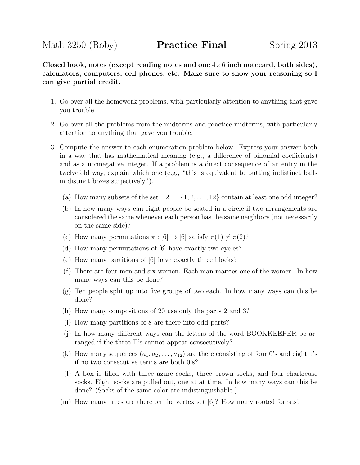Closed book, notes (except reading notes and one  $4\times 6$  inch notecard, both sides), calculators, computers, cell phones, etc. Make sure to show your reasoning so I can give partial credit.

- 1. Go over all the homework problems, with particularly attention to anything that gave you trouble.
- 2. Go over all the problems from the midterms and practice midterms, with particularly attention to anything that gave you trouble.
- 3. Compute the answer to each enumeration problem below. Express your answer both in a way that has mathematical meaning (e.g., a difference of binomial coefficients) and as a nonnegative integer. If a problem is a direct consequence of an entry in the twelvefold way, explain which one (e.g., "this is equivalent to putting indistinct balls in distinct boxes surjectively").
	- (a) How many subsets of the set  $[12] = \{1, 2, \ldots, 12\}$  contain at least one odd integer?
	- (b) In how many ways can eight people be seated in a circle if two arrangements are considered the same whenever each person has the same neighbors (not necessarily on the same side)?
	- (c) How many permutations  $\pi : [6] \to [6]$  satisfy  $\pi(1) \neq \pi(2)$ ?
	- (d) How many permutations of [6] have exactly two cycles?
	- (e) How many partitions of [6] have exactly three blocks?
	- (f) There are four men and six women. Each man marries one of the women. In how many ways can this be done?
	- $(g)$  Ten people split up into five groups of two each. In how many ways can this be done?
	- (h) How many compositions of 20 use only the parts 2 and 3?
	- (i) How many partitions of 8 are there into odd parts?
	- (j) In how many different ways can the letters of the word BOOKKEEPER be arranged if the three E's cannot appear consecutively?
	- (k) How many sequences  $(a_1, a_2, \ldots, a_{12})$  are there consisting of four 0's and eight 1's if no two consecutive terms are both 0's?
	- (l) A box is filled with three azure socks, three brown socks, and four chartreuse socks. Eight socks are pulled out, one at at time. In how many ways can this be done? (Socks of the same color are indistinguishable.)
	- (m) How many trees are there on the vertex set [6]? How many rooted forests?